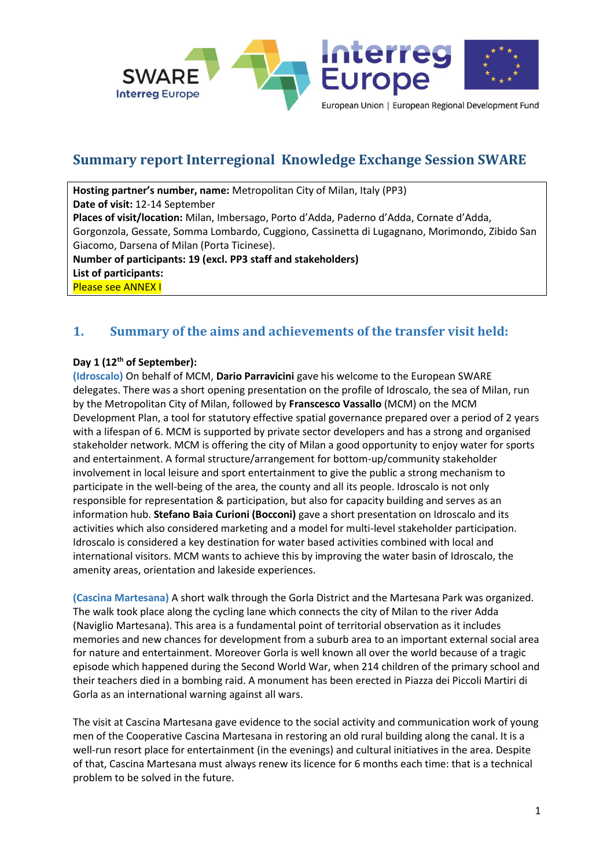

# **Summary report Interregional Knowledge Exchange Session SWARE**

**Hosting partner's number, name:** Metropolitan City of Milan, Italy (PP3) **Date of visit:** 12-14 September **Places of visit/location:** Milan, Imbersago, Porto d'Adda, Paderno d'Adda, Cornate d'Adda, Gorgonzola, Gessate, Somma Lombardo, Cuggiono, Cassinetta di Lugagnano, Morimondo, Zibido San Giacomo, Darsena of Milan (Porta Ticinese). **Number of participants: 19 (excl. PP3 staff and stakeholders) List of participants:**  Please see ANNEX I

## **1. Summary of the aims and achievements of the transfer visit held:**

#### **Day 1 (12th of September):**

**(Idroscalo)** On behalf of MCM, **Dario Parravicini** gave his welcome to the European SWARE delegates. There was a short opening presentation on the profile of Idroscalo, the sea of Milan, run by the Metropolitan City of Milan, followed by **Franscesco Vassallo** (MCM) on the MCM Development Plan, a tool for statutory effective spatial governance prepared over a period of 2 years with a lifespan of 6. MCM is supported by private sector developers and has a strong and organised stakeholder network. MCM is offering the city of Milan a good opportunity to enjoy water for sports and entertainment. A formal structure/arrangement for bottom-up/community stakeholder involvement in local leisure and sport entertainment to give the public a strong mechanism to participate in the well-being of the area, the county and all its people. Idroscalo is not only responsible for representation & participation, but also for capacity building and serves as an information hub. **Stefano Baia Curioni (Bocconi)** gave a short presentation on Idroscalo and its activities which also considered marketing and a model for multi-level stakeholder participation. Idroscalo is considered a key destination for water based activities combined with local and international visitors. MCM wants to achieve this by improving the water basin of Idroscalo, the amenity areas, orientation and lakeside experiences.

**(Cascina Martesana)** A short walk through the Gorla District and the Martesana Park was organized. The walk took place along the cycling lane which connects the city of Milan to the river Adda (Naviglio Martesana). This area is a fundamental point of territorial observation as it includes memories and new chances for development from a suburb area to an important external social area for nature and entertainment. Moreover Gorla is well known all over the world because of a tragic episode which happened during the Second World War, when 214 children of the primary school and their teachers died in a bombing raid. A monument has been erected in Piazza dei Piccoli Martiri di Gorla as an international warning against all wars.

The visit at Cascina Martesana gave evidence to the social activity and communication work of young men of the Cooperative Cascina Martesana in restoring an old rural building along the canal. It is a well-run resort place for entertainment (in the evenings) and cultural initiatives in the area. Despite of that, Cascina Martesana must always renew its licence for 6 months each time: that is a technical problem to be solved in the future.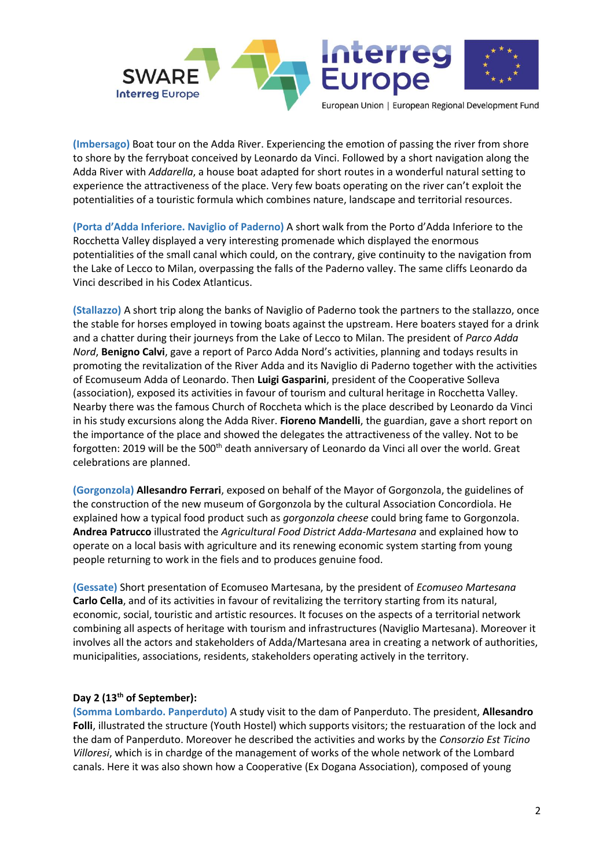

**(Imbersago)** Boat tour on the Adda River. Experiencing the emotion of passing the river from shore to shore by the ferryboat conceived by Leonardo da Vinci. Followed by a short navigation along the Adda River with *Addarella*, a house boat adapted for short routes in a wonderful natural setting to experience the attractiveness of the place. Very few boats operating on the river can't exploit the potentialities of a touristic formula which combines nature, landscape and territorial resources.

**(Porta d'Adda Inferiore. Naviglio of Paderno)** A short walk from the Porto d'Adda Inferiore to the Rocchetta Valley displayed a very interesting promenade which displayed the enormous potentialities of the small canal which could, on the contrary, give continuity to the navigation from the Lake of Lecco to Milan, overpassing the falls of the Paderno valley. The same cliffs Leonardo da Vinci described in his Codex Atlanticus.

**(Stallazzo)** A short trip along the banks of Naviglio of Paderno took the partners to the stallazzo, once the stable for horses employed in towing boats against the upstream. Here boaters stayed for a drink and a chatter during their journeys from the Lake of Lecco to Milan. The president of *Parco Adda Nord*, **Benigno Calvi**, gave a report of Parco Adda Nord's activities, planning and todays results in promoting the revitalization of the River Adda and its Naviglio di Paderno together with the activities of Ecomuseum Adda of Leonardo. Then **Luigi Gasparini**, president of the Cooperative Solleva (association), exposed its activities in favour of tourism and cultural heritage in Rocchetta Valley. Nearby there was the famous Church of Roccheta which is the place described by Leonardo da Vinci in his study excursions along the Adda River. **Fioreno Mandelli**, the guardian, gave a short report on the importance of the place and showed the delegates the attractiveness of the valley. Not to be forgotten: 2019 will be the 500<sup>th</sup> death anniversary of Leonardo da Vinci all over the world. Great celebrations are planned.

**(Gorgonzola) Allesandro Ferrari**, exposed on behalf of the Mayor of Gorgonzola, the guidelines of the construction of the new museum of Gorgonzola by the cultural Association Concordiola. He explained how a typical food product such as *gorgonzola cheese* could bring fame to Gorgonzola. **Andrea Patrucco** illustrated the *Agricultural Food District Adda-Martesana* and explained how to operate on a local basis with agriculture and its renewing economic system starting from young people returning to work in the fiels and to produces genuine food.

**(Gessate)** Short presentation of Ecomuseo Martesana, by the president of *Ecomuseo Martesana* **Carlo Cella**, and of its activities in favour of revitalizing the territory starting from its natural, economic, social, touristic and artistic resources. It focuses on the aspects of a territorial network combining all aspects of heritage with tourism and infrastructures (Naviglio Martesana). Moreover it involves all the actors and stakeholders of Adda/Martesana area in creating a network of authorities, municipalities, associations, residents, stakeholders operating actively in the territory.

#### **Day 2 (13th of September):**

**(Somma Lombardo. Panperduto)** A study visit to the dam of Panperduto. The president, **Allesandro Folli**, illustrated the structure (Youth Hostel) which supports visitors; the restuaration of the lock and the dam of Panperduto. Moreover he described the activities and works by the *Consorzio Est Ticino Villoresi*, which is in chardge of the management of works of the whole network of the Lombard canals. Here it was also shown how a Cooperative (Ex Dogana Association), composed of young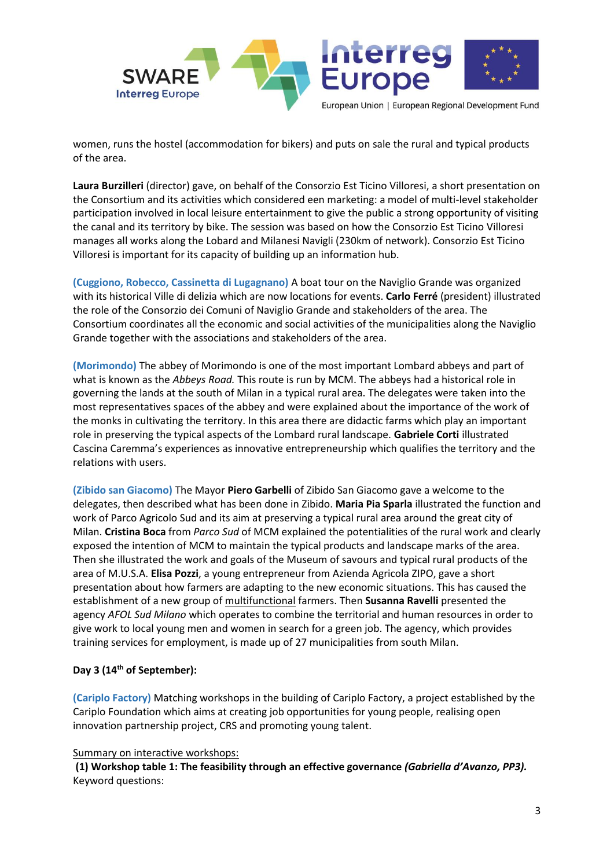

women, runs the hostel (accommodation for bikers) and puts on sale the rural and typical products of the area.

**Laura Burzilleri** (director) gave, on behalf of the Consorzio Est Ticino Villoresi, a short presentation on the Consortium and its activities which considered een marketing: a model of multi-level stakeholder participation involved in local leisure entertainment to give the public a strong opportunity of visiting the canal and its territory by bike. The session was based on how the Consorzio Est Ticino Villoresi manages all works along the Lobard and Milanesi Navigli (230km of network). Consorzio Est Ticino Villoresi is important for its capacity of building up an information hub.

**(Cuggiono, Robecco, Cassinetta di Lugagnano)** A boat tour on the Naviglio Grande was organized with its historical Ville di delizia which are now locations for events. **Carlo Ferré** (president) illustrated the role of the Consorzio dei Comuni of Naviglio Grande and stakeholders of the area. The Consortium coordinates all the economic and social activities of the municipalities along the Naviglio Grande together with the associations and stakeholders of the area.

**(Morimondo)** The abbey of Morimondo is one of the most important Lombard abbeys and part of what is known as the *Abbeys Road.* This route is run by MCM. The abbeys had a historical role in governing the lands at the south of Milan in a typical rural area. The delegates were taken into the most representatives spaces of the abbey and were explained about the importance of the work of the monks in cultivating the territory. In this area there are didactic farms which play an important role in preserving the typical aspects of the Lombard rural landscape. **Gabriele Corti** illustrated Cascina Caremma's experiences as innovative entrepreneurship which qualifies the territory and the relations with users.

**(Zibido san Giacomo)** The Mayor **Piero Garbelli** of Zibido San Giacomo gave a welcome to the delegates, then described what has been done in Zibido. **Maria Pia Sparla** illustrated the function and work of Parco Agricolo Sud and its aim at preserving a typical rural area around the great city of Milan. **Cristina Boca** from *Parco Sud* of MCM explained the potentialities of the rural work and clearly exposed the intention of MCM to maintain the typical products and landscape marks of the area. Then she illustrated the work and goals of the Museum of savours and typical rural products of the area of M.U.S.A. **Elisa Pozzi**, a young entrepreneur from Azienda Agricola ZIPO, gave a short presentation about how farmers are adapting to the new economic situations. This has caused the establishment of a new group of multifunctional farmers. Then **Susanna Ravelli** presented the agency *AFOL Sud Milano* which operates to combine the territorial and human resources in order to give work to local young men and women in search for a green job. The agency, which provides training services for employment, is made up of 27 municipalities from south Milan.

#### **Day 3 (14th of September):**

**(Cariplo Factory)** Matching workshops in the building of Cariplo Factory, a project established by the Cariplo Foundation which aims at creating job opportunities for young people, realising open innovation partnership project, CRS and promoting young talent.

#### Summary on interactive workshops:

**(1) Workshop table 1: The feasibility through an effective governance** *(Gabriella d'Avanzo, PP3).* Keyword questions: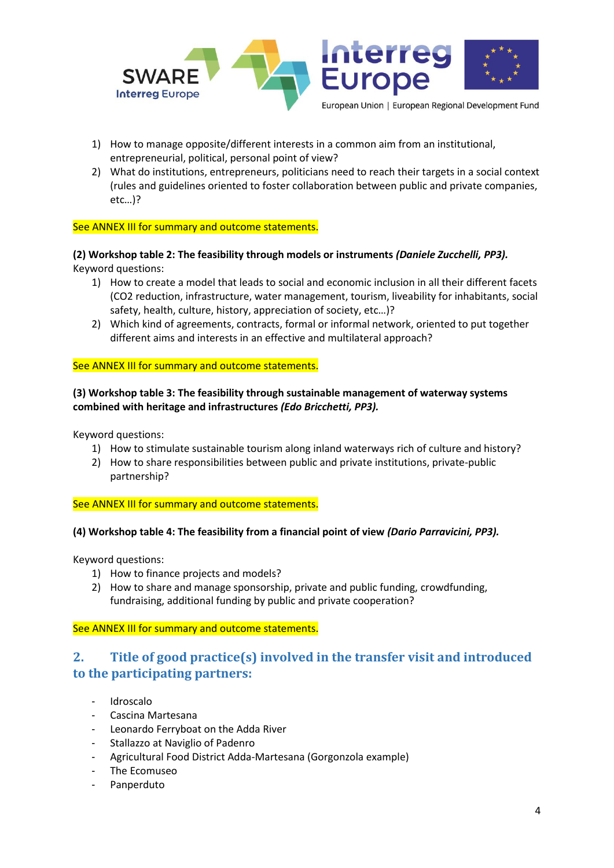

- 1) How to manage opposite/different interests in a common aim from an institutional, entrepreneurial, political, personal point of view?
- 2) What do institutions, entrepreneurs, politicians need to reach their targets in a social context (rules and guidelines oriented to foster collaboration between public and private companies, etc…)?

See ANNEX III for summary and outcome statements.

**(2) Workshop table 2: The feasibility through models or instruments** *(Daniele Zucchelli, PP3).* Keyword questions:

- 1) How to create a model that leads to social and economic inclusion in all their different facets (CO2 reduction, infrastructure, water management, tourism, liveability for inhabitants, social safety, health, culture, history, appreciation of society, etc…)?
- 2) Which kind of agreements, contracts, formal or informal network, oriented to put together different aims and interests in an effective and multilateral approach?

#### See ANNEX III for summary and outcome statements.

#### **(3) Workshop table 3: The feasibility through sustainable management of waterway systems combined with heritage and infrastructures** *(Edo Bricchetti, PP3).*

Keyword questions:

- 1) How to stimulate sustainable tourism along inland waterways rich of culture and history?
- 2) How to share responsibilities between public and private institutions, private-public partnership?

See ANNEX III for summary and outcome statements.

#### **(4) Workshop table 4: The feasibility from a financial point of view** *(Dario Parravicini, PP3).*

Keyword questions:

- 1) How to finance projects and models?
- 2) How to share and manage sponsorship, private and public funding, crowdfunding, fundraising, additional funding by public and private cooperation?

See ANNEX III for summary and outcome statements.

## **2. Title of good practice(s) involved in the transfer visit and introduced to the participating partners:**

- Idroscalo
- Cascina Martesana
- Leonardo Ferryboat on the Adda River
- Stallazzo at Naviglio of Padenro
- Agricultural Food District Adda-Martesana (Gorgonzola example)
- The Ecomuseo
- Panperduto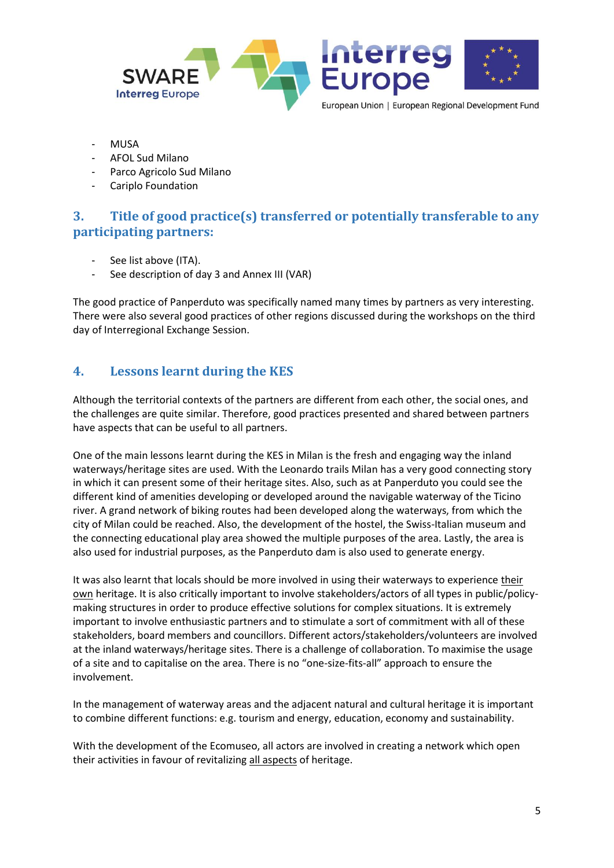

- **MUSA**
- AFOL Sud Milano
- Parco Agricolo Sud Milano
- Cariplo Foundation

### **3. Title of good practice(s) transferred or potentially transferable to any participating partners:**

- See list above (ITA).
- See description of day 3 and Annex III (VAR)

The good practice of Panperduto was specifically named many times by partners as very interesting. There were also several good practices of other regions discussed during the workshops on the third day of Interregional Exchange Session.

### **4. Lessons learnt during the KES**

Although the territorial contexts of the partners are different from each other, the social ones, and the challenges are quite similar. Therefore, good practices presented and shared between partners have aspects that can be useful to all partners.

One of the main lessons learnt during the KES in Milan is the fresh and engaging way the inland waterways/heritage sites are used. With the Leonardo trails Milan has a very good connecting story in which it can present some of their heritage sites. Also, such as at Panperduto you could see the different kind of amenities developing or developed around the navigable waterway of the Ticino river. A grand network of biking routes had been developed along the waterways, from which the city of Milan could be reached. Also, the development of the hostel, the Swiss-Italian museum and the connecting educational play area showed the multiple purposes of the area. Lastly, the area is also used for industrial purposes, as the Panperduto dam is also used to generate energy.

It was also learnt that locals should be more involved in using their waterways to experience their own heritage. It is also critically important to involve stakeholders/actors of all types in public/policymaking structures in order to produce effective solutions for complex situations. It is extremely important to involve enthusiastic partners and to stimulate a sort of commitment with all of these stakeholders, board members and councillors. Different actors/stakeholders/volunteers are involved at the inland waterways/heritage sites. There is a challenge of collaboration. To maximise the usage of a site and to capitalise on the area. There is no "one-size-fits-all" approach to ensure the involvement.

In the management of waterway areas and the adjacent natural and cultural heritage it is important to combine different functions: e.g. tourism and energy, education, economy and sustainability.

With the development of the Ecomuseo, all actors are involved in creating a network which open their activities in favour of revitalizing all aspects of heritage.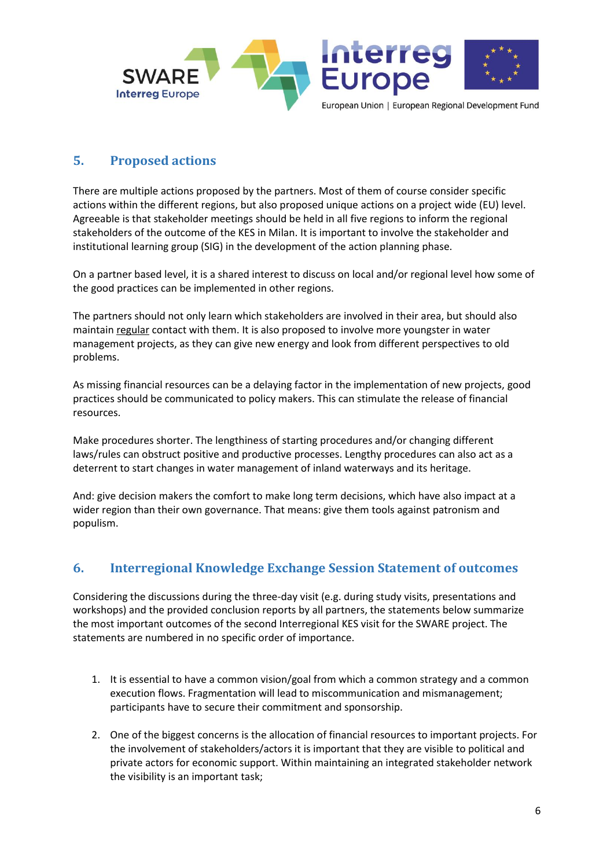

### **5. Proposed actions**

There are multiple actions proposed by the partners. Most of them of course consider specific actions within the different regions, but also proposed unique actions on a project wide (EU) level. Agreeable is that stakeholder meetings should be held in all five regions to inform the regional stakeholders of the outcome of the KES in Milan. It is important to involve the stakeholder and institutional learning group (SIG) in the development of the action planning phase.

On a partner based level, it is a shared interest to discuss on local and/or regional level how some of the good practices can be implemented in other regions.

The partners should not only learn which stakeholders are involved in their area, but should also maintain regular contact with them. It is also proposed to involve more youngster in water management projects, as they can give new energy and look from different perspectives to old problems.

As missing financial resources can be a delaying factor in the implementation of new projects, good practices should be communicated to policy makers. This can stimulate the release of financial resources.

Make procedures shorter. The lengthiness of starting procedures and/or changing different laws/rules can obstruct positive and productive processes. Lengthy procedures can also act as a deterrent to start changes in water management of inland waterways and its heritage.

And: give decision makers the comfort to make long term decisions, which have also impact at a wider region than their own governance. That means: give them tools against patronism and populism.

## **6. Interregional Knowledge Exchange Session Statement of outcomes**

Considering the discussions during the three-day visit (e.g. during study visits, presentations and workshops) and the provided conclusion reports by all partners, the statements below summarize the most important outcomes of the second Interregional KES visit for the SWARE project. The statements are numbered in no specific order of importance.

- 1. It is essential to have a common vision/goal from which a common strategy and a common execution flows. Fragmentation will lead to miscommunication and mismanagement; participants have to secure their commitment and sponsorship.
- 2. One of the biggest concerns is the allocation of financial resources to important projects. For the involvement of stakeholders/actors it is important that they are visible to political and private actors for economic support. Within maintaining an integrated stakeholder network the visibility is an important task;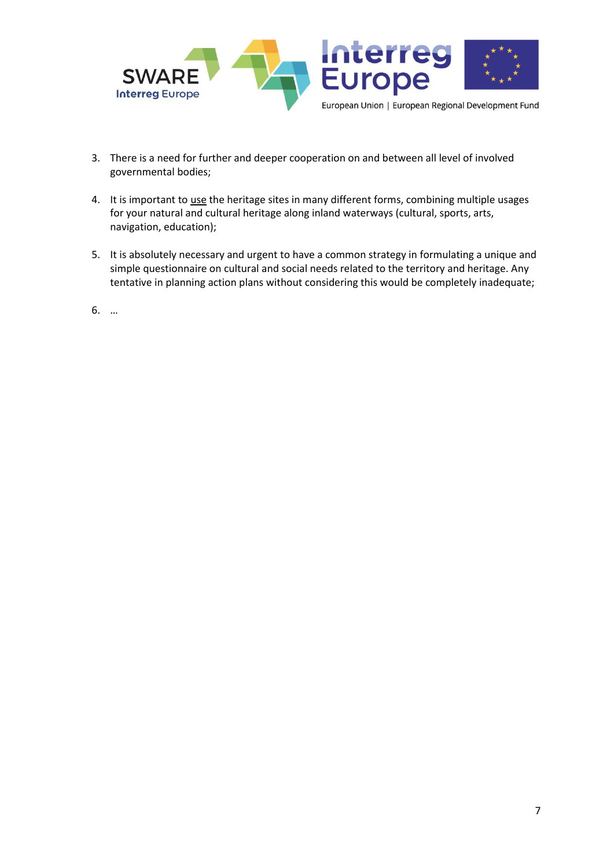

- 3. There is a need for further and deeper cooperation on and between all level of involved governmental bodies;
- 4. It is important to use the heritage sites in many different forms, combining multiple usages for your natural and cultural heritage along inland waterways (cultural, sports, arts, navigation, education);
- 5. It is absolutely necessary and urgent to have a common strategy in formulating a unique and simple questionnaire on cultural and social needs related to the territory and heritage. Any tentative in planning action plans without considering this would be completely inadequate;
- 6. …